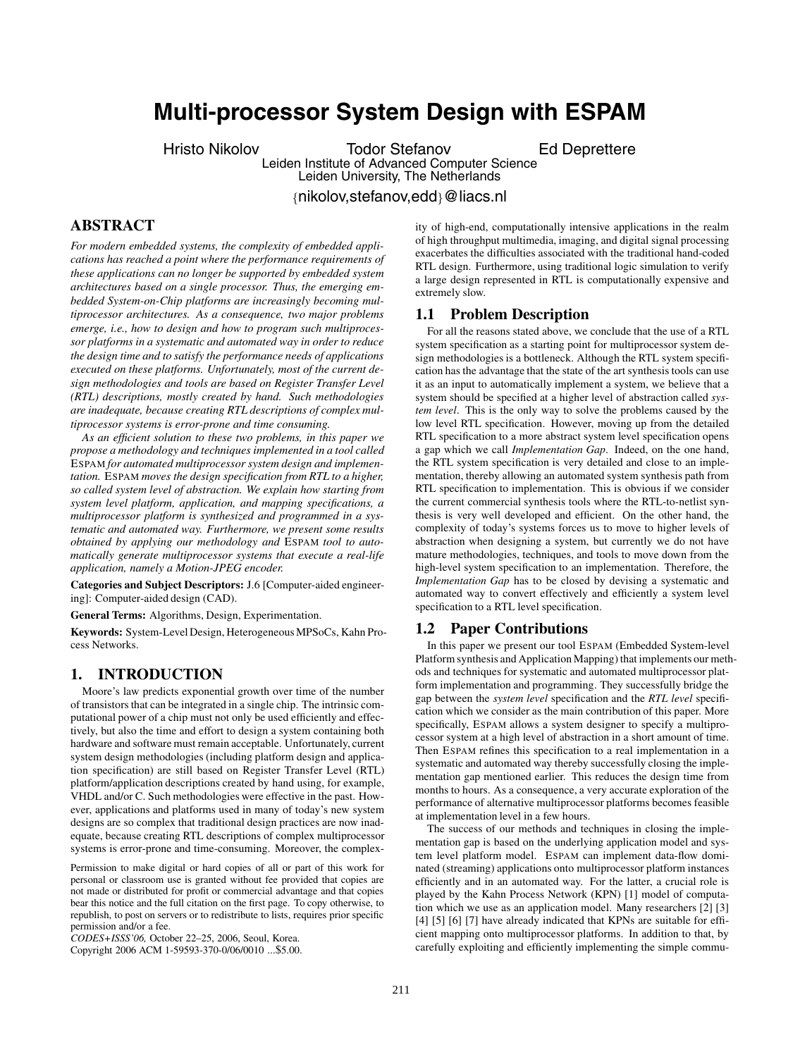# **Multi-processor System Design with ESPAM**

Hristo Nikolov Todor Stefanov Ed Deprettere

Leiden Institute of Advanced Computer Science Leiden University, The Netherlands

{nikolov,stefanov,edd}@liacs.nl

# **ABSTRACT**

*For modern embedded systems, the complexity of embedded applications has reached a point where the performance requirements of these applications can no longer be supported by embedded system architectures based on a single processor. Thus, the emerging embedded System-on-Chip platforms are increasingly becoming multiprocessor architectures. As a consequence, two major problems emerge, i.e., how to design and how to program such multiprocessor platforms in a systematic and automated way in order to reduce the design time and to satisfy the performance needs of applications executed on these platforms. Unfortunately, most of the current design methodologies and tools are based on Register Transfer Level (RTL) descriptions, mostly created by hand. Such methodologies are inadequate, because creating RTL descriptions of complex multiprocessor systems is error-prone and time consuming.*

*As an efficient solution to these two problems, in this paper we propose a methodology and techniques implemented in a tool called* ESPAM *for automated multiprocessor system design and implementation.* ESPAM *moves the design specification from RTL to a higher, so called system level of abstraction. We explain how starting from system level platform, application, and mapping specifications, a multiprocessor platform is synthesized and programmed in a systematic and automated way. Furthermore, we present some results obtained by applying our methodology and* ESPAM *tool to automatically generate multiprocessor systems that execute a real-life application, namely a Motion-JPEG encoder.*

**Categories and Subject Descriptors:** J.6 [Computer-aided engineering]: Computer-aided design (CAD).

**General Terms:** Algorithms, Design, Experimentation.

**Keywords:** System-Level Design, Heterogeneous MPSoCs, Kahn Process Networks.

# **1. INTRODUCTION**

Moore's law predicts exponential growth over time of the number of transistors that can be integrated in a single chip. The intrinsic computational power of a chip must not only be used efficiently and effectively, but also the time and effort to design a system containing both hardware and software must remain acceptable. Unfortunately, current system design methodologies (including platform design and application specification) are still based on Register Transfer Level (RTL) platform/application descriptions created by hand using, for example, VHDL and/or C. Such methodologies were effective in the past. However, applications and platforms used in many of today's new system designs are so complex that traditional design practices are now inadequate, because creating RTL descriptions of complex multiprocessor systems is error-prone and time-consuming. Moreover, the complex-

Permission to make digital or hard copies of all or part of this work for personal or classroom use is granted without fee provided that copies are not made or distributed for profit or commercial advantage and that copies bear this notice and the full citation on the first page. To copy otherwise, to republish, to post on servers or to redistribute to lists, requires prior specific permission and/or a fee.

*CODES+ISSS'06,* October 22–25, 2006, Seoul, Korea. Copyright 2006 ACM 1-59593-370-0/06/0010 ...\$5.00. ity of high-end, computationally intensive applications in the realm of high throughput multimedia, imaging, and digital signal processing exacerbates the difficulties associated with the traditional hand-coded RTL design. Furthermore, using traditional logic simulation to verify a large design represented in RTL is computationally expensive and extremely slow.

#### **1.1 Problem Description**

For all the reasons stated above, we conclude that the use of a RTL system specification as a starting point for multiprocessor system design methodologies is a bottleneck. Although the RTL system specification has the advantage that the state of the art synthesis tools can use it as an input to automatically implement a system, we believe that a system should be specified at a higher level of abstraction called *system level*. This is the only way to solve the problems caused by the low level RTL specification. However, moving up from the detailed RTL specification to a more abstract system level specification opens a gap which we call *Implementation Gap*. Indeed, on the one hand, the RTL system specification is very detailed and close to an implementation, thereby allowing an automated system synthesis path from RTL specification to implementation. This is obvious if we consider the current commercial synthesis tools where the RTL-to-netlist synthesis is very well developed and efficient. On the other hand, the complexity of today's systems forces us to move to higher levels of abstraction when designing a system, but currently we do not have mature methodologies, techniques, and tools to move down from the high-level system specification to an implementation. Therefore, the *Implementation Gap* has to be closed by devising a systematic and automated way to convert effectively and efficiently a system level specification to a RTL level specification.

### **1.2 Paper Contributions**

In this paper we present our tool ESPAM (Embedded System-level Platform synthesis and Application Mapping) that implements our methods and techniques for systematic and automated multiprocessor platform implementation and programming. They successfully bridge the gap between the *system level* specification and the *RTL level* specification which we consider as the main contribution of this paper. More specifically, ESPAM allows a system designer to specify a multiprocessor system at a high level of abstraction in a short amount of time. Then ESPAM refines this specification to a real implementation in a systematic and automated way thereby successfully closing the implementation gap mentioned earlier. This reduces the design time from months to hours. As a consequence, a very accurate exploration of the performance of alternative multiprocessor platforms becomes feasible at implementation level in a few hours.

The success of our methods and techniques in closing the implementation gap is based on the underlying application model and system level platform model. ESPAM can implement data-flow dominated (streaming) applications onto multiprocessor platform instances efficiently and in an automated way. For the latter, a crucial role is played by the Kahn Process Network (KPN) [1] model of computation which we use as an application model. Many researchers [2] [3] [4] [5] [6] [7] have already indicated that KPNs are suitable for efficient mapping onto multiprocessor platforms. In addition to that, by carefully exploiting and efficiently implementing the simple commu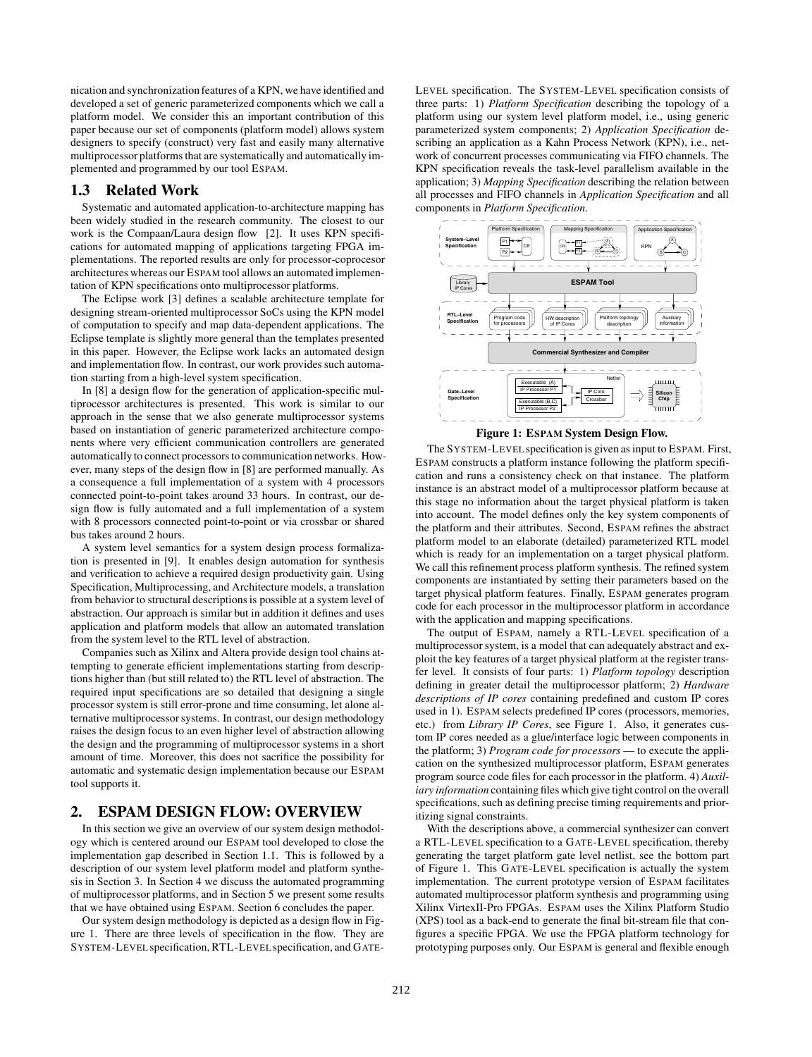nication and synchronization features of a KPN, we have identified and developed a set of generic parameterized components which we call a platform model. We consider this an important contribution of this paper because our set of components (platform model) allows system designers to specify (construct) very fast and easily many alternative multiprocessor platforms that are systematically and automatically implemented and programmed by our tool ESPAM.

### **1.3 Related Work**

Systematic and automated application-to-architecture mapping has been widely studied in the research community. The closest to our work is the Compaan/Laura design flow [2]. It uses KPN specifications for automated mapping of applications targeting FPGA implementations. The reported results are only for processor-coprocesor architectures whereas our ESPAM tool allows an automated implementation of KPN specifications onto multiprocessor platforms.

The Eclipse work [3] defines a scalable architecture template for designing stream-oriented multiprocessor SoCs using the KPN model of computation to specify and map data-dependent applications. The Eclipse template is slightly more general than the templates presented in this paper. However, the Eclipse work lacks an automated design and implementation flow. In contrast, our work provides such automation starting from a high-level system specification.

In [8] a design flow for the generation of application-specific multiprocessor architectures is presented. This work is similar to our approach in the sense that we also generate multiprocessor systems based on instantiation of generic parameterized architecture components where very efficient communication controllers are generated automatically to connect processors to communication networks. However, many steps of the design flow in [8] are performed manually. As a consequence a full implementation of a system with 4 processors connected point-to-point takes around 33 hours. In contrast, our design flow is fully automated and a full implementation of a system with 8 processors connected point-to-point or via crossbar or shared bus takes around 2 hours.

A system level semantics for a system design process formalization is presented in [9]. It enables design automation for synthesis and verification to achieve a required design productivity gain. Using Specification, Multiprocessing, and Architecture models, a translation from behavior to structural descriptions is possible at a system level of abstraction. Our approach is similar but in addition it defines and uses application and platform models that allow an automated translation from the system level to the RTL level of abstraction.

Companies such as Xilinx and Altera provide design tool chains attempting to generate efficient implementations starting from descriptions higher than (but still related to) the RTL level of abstraction. The required input specifications are so detailed that designing a single processor system is still error-prone and time consuming, let alone alternative multiprocessor systems. In contrast, our design methodology raises the design focus to an even higher level of abstraction allowing the design and the programming of multiprocessor systems in a short amount of time. Moreover, this does not sacrifice the possibility for automatic and systematic design implementation because our ESPAM tool supports it.

## **2. ESPAM DESIGN FLOW: OVERVIEW**

In this section we give an overview of our system design methodology which is centered around our ESPAM tool developed to close the implementation gap described in Section 1.1. This is followed by a description of our system level platform model and platform synthesis in Section 3. In Section 4 we discuss the automated programming of multiprocessor platforms, and in Section 5 we present some results that we have obtained using ESPAM. Section 6 concludes the paper.

Our system design methodology is depicted as a design flow in Figure 1. There are three levels of specification in the flow. They are SYSTEM-LEVEL specification, RTL-LEVEL specification, and GATE-

LEVEL specification. The SYSTEM-LEVEL specification consists of three parts: 1) *Platform Specification* describing the topology of a platform using our system level platform model, i.e., using generic parameterized system components; 2) *Application Specification* describing an application as a Kahn Process Network (KPN), i.e., network of concurrent processes communicating via FIFO channels. The KPN specification reveals the task-level parallelism available in the application; 3) *Mapping Specification* describing the relation between all processes and FIFO channels in *Application Specification* and all components in *Platform Specification*.



The SYSTEM-LEVEL specification is given as input to ESPAM. First, ESPAM constructs a platform instance following the platform specification and runs a consistency check on that instance. The platform instance is an abstract model of a multiprocessor platform because at this stage no information about the target physical platform is taken into account. The model defines only the key system components of the platform and their attributes. Second, ESPAM refines the abstract platform model to an elaborate (detailed) parameterized RTL model which is ready for an implementation on a target physical platform. We call this refinement process platform synthesis. The refined system components are instantiated by setting their parameters based on the target physical platform features. Finally, ESPAM generates program code for each processor in the multiprocessor platform in accordance with the application and mapping specifications.

The output of ESPAM, namely a RTL-LEVEL specification of a multiprocessor system, is a model that can adequately abstract and exploit the key features of a target physical platform at the register transfer level. It consists of four parts: 1) *Platform topology* description defining in greater detail the multiprocessor platform; 2) *Hardware descriptions of IP cores* containing predefined and custom IP cores used in 1). ESPAM selects predefined IP cores (processors, memories, etc.) from *Library IP Cores*, see Figure 1. Also, it generates custom IP cores needed as a glue/interface logic between components in the platform; 3) *Program code for processors* — to execute the application on the synthesized multiprocessor platform, ESPAM generates program source code files for each processor in the platform. 4) *Auxiliary information* containing files which give tight control on the overall specifications, such as defining precise timing requirements and prioritizing signal constraints.

With the descriptions above, a commercial synthesizer can convert a RTL-LEVEL specification to a GATE-LEVEL specification, thereby generating the target platform gate level netlist, see the bottom part of Figure 1. This GATE-LEVEL specification is actually the system implementation. The current prototype version of ESPAM facilitates automated multiprocessor platform synthesis and programming using Xilinx VirtexII-Pro FPGAs. ESPAM uses the Xilinx Platform Studio (XPS) tool as a back-end to generate the final bit-stream file that configures a specific FPGA. We use the FPGA platform technology for prototyping purposes only. Our ESPAM is general and flexible enough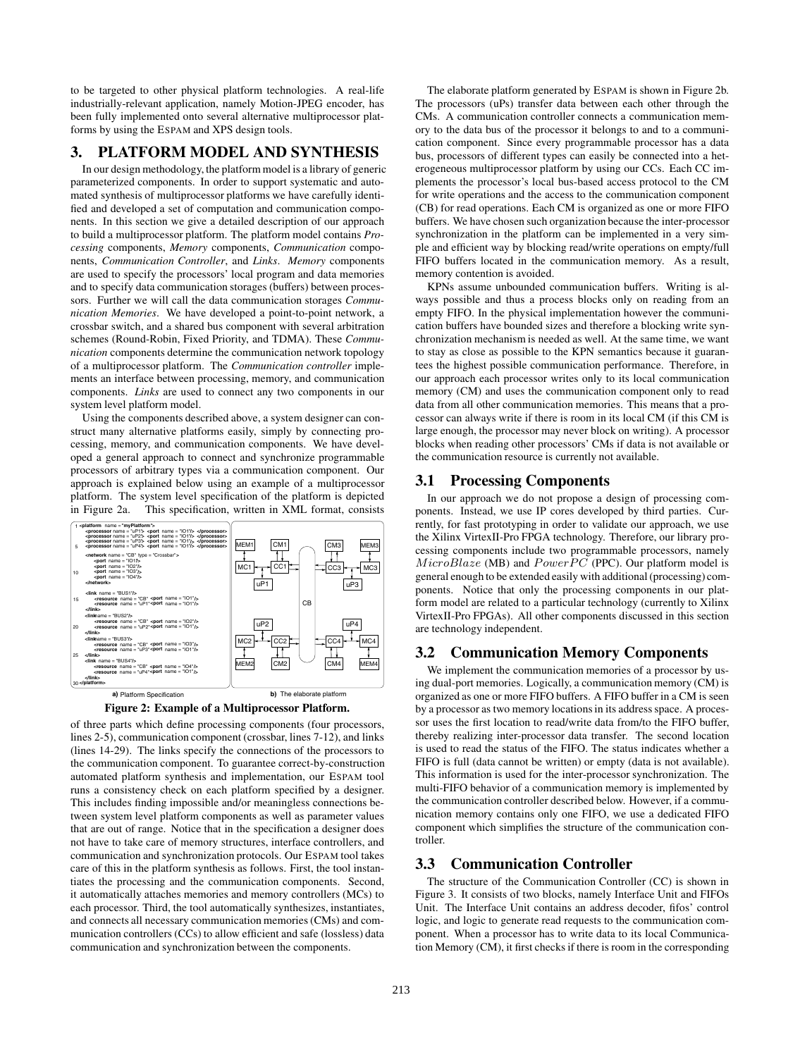to be targeted to other physical platform technologies. A real-life industrially-relevant application, namely Motion-JPEG encoder, has been fully implemented onto several alternative multiprocessor platforms by using the ESPAM and XPS design tools.

# **3. PLATFORM MODEL AND SYNTHESIS**

In our design methodology, the platform model is a library of generic parameterized components. In order to support systematic and automated synthesis of multiprocessor platforms we have carefully identified and developed a set of computation and communication components. In this section we give a detailed description of our approach to build a multiprocessor platform. The platform model contains *Processing* components, *Memory* components, *Communication* components, *Communication Controller*, and *Links*. *Memory* components are used to specify the processors' local program and data memories and to specify data communication storages (buffers) between processors. Further we will call the data communication storages *Communication Memories*. We have developed a point-to-point network, a crossbar switch, and a shared bus component with several arbitration schemes (Round-Robin, Fixed Priority, and TDMA). These *Communication* components determine the communication network topology of a multiprocessor platform. The *Communication controller* implements an interface between processing, memory, and communication components. *Links* are used to connect any two components in our system level platform model.

Using the components described above, a system designer can construct many alternative platforms easily, simply by connecting processing, memory, and communication components. We have developed a general approach to connect and synchronize programmable processors of arbitrary types via a communication component. Our approach is explained below using an example of a multiprocessor platform. The system level specification of the platform is depicted in Figure 2a. This specification, written in XML format, consists





of three parts which define processing components (four processors, lines 2-5), communication component (crossbar, lines 7-12), and links (lines 14-29). The links specify the connections of the processors to the communication component. To guarantee correct-by-construction automated platform synthesis and implementation, our ESPAM tool runs a consistency check on each platform specified by a designer. This includes finding impossible and/or meaningless connections between system level platform components as well as parameter values that are out of range. Notice that in the specification a designer does not have to take care of memory structures, interface controllers, and communication and synchronization protocols. Our ESPAM tool takes care of this in the platform synthesis as follows. First, the tool instantiates the processing and the communication components. Second, it automatically attaches memories and memory controllers (MCs) to each processor. Third, the tool automatically synthesizes, instantiates, and connects all necessary communication memories (CMs) and communication controllers (CCs) to allow efficient and safe (lossless) data communication and synchronization between the components.

The elaborate platform generated by ESPAM is shown in Figure 2b. The processors (uPs) transfer data between each other through the CMs. A communication controller connects a communication memory to the data bus of the processor it belongs to and to a communication component. Since every programmable processor has a data bus, processors of different types can easily be connected into a heterogeneous multiprocessor platform by using our CCs. Each CC implements the processor's local bus-based access protocol to the CM for write operations and the access to the communication component (CB) for read operations. Each CM is organized as one or more FIFO buffers. We have chosen such organization because the inter-processor synchronization in the platform can be implemented in a very simple and efficient way by blocking read/write operations on empty/full FIFO buffers located in the communication memory. As a result, memory contention is avoided.

KPNs assume unbounded communication buffers. Writing is always possible and thus a process blocks only on reading from an empty FIFO. In the physical implementation however the communication buffers have bounded sizes and therefore a blocking write synchronization mechanism is needed as well. At the same time, we want to stay as close as possible to the KPN semantics because it guarantees the highest possible communication performance. Therefore, in our approach each processor writes only to its local communication memory (CM) and uses the communication component only to read data from all other communication memories. This means that a processor can always write if there is room in its local CM (if this CM is large enough, the processor may never block on writing). A processor blocks when reading other processors' CMs if data is not available or the communication resource is currently not available.

#### **3.1 Processing Components**

In our approach we do not propose a design of processing components. Instead, we use IP cores developed by third parties. Currently, for fast prototyping in order to validate our approach, we use the Xilinx VirtexII-Pro FPGA technology. Therefore, our library processing components include two programmable processors, namely *MicroBlaze* (MB) and *PowerPC* (PPC). Our platform model is general enough to be extended easily with additional (processing) components. Notice that only the processing components in our platform model are related to a particular technology (currently to Xilinx VirtexII-Pro FPGAs). All other components discussed in this section are technology independent.

#### **3.2 Communication Memory Components**

We implement the communication memories of a processor by using dual-port memories. Logically, a communication memory (CM) is organized as one or more FIFO buffers. A FIFO buffer in a CM is seen by a processor as two memory locations in its address space. A processor uses the first location to read/write data from/to the FIFO buffer, thereby realizing inter-processor data transfer. The second location is used to read the status of the FIFO. The status indicates whether a FIFO is full (data cannot be written) or empty (data is not available). This information is used for the inter-processor synchronization. The multi-FIFO behavior of a communication memory is implemented by the communication controller described below. However, if a communication memory contains only one FIFO, we use a dedicated FIFO component which simplifies the structure of the communication controller.

#### **3.3 Communication Controller**

The structure of the Communication Controller (CC) is shown in Figure 3. It consists of two blocks, namely Interface Unit and FIFOs Unit. The Interface Unit contains an address decoder, fifos' control logic, and logic to generate read requests to the communication component. When a processor has to write data to its local Communication Memory (CM), it first checks if there is room in the corresponding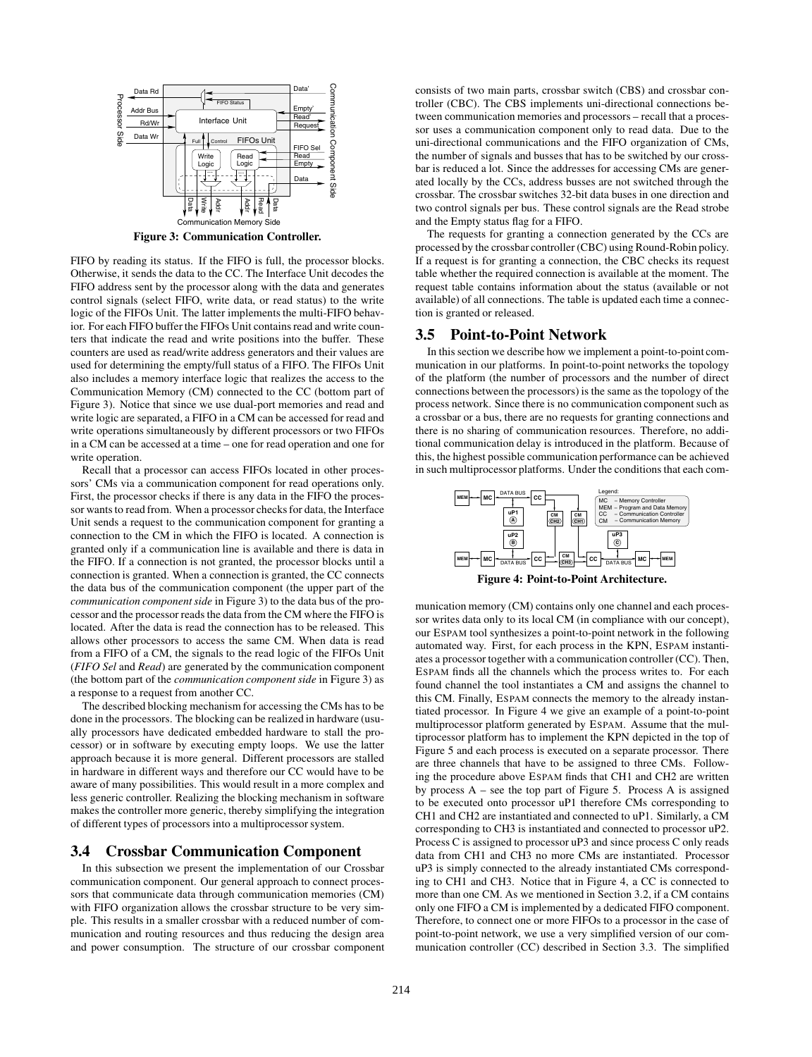

**Figure 3: Communication Controller.**

FIFO by reading its status. If the FIFO is full, the processor blocks. Otherwise, it sends the data to the CC. The Interface Unit decodes the FIFO address sent by the processor along with the data and generates control signals (select FIFO, write data, or read status) to the write logic of the FIFOs Unit. The latter implements the multi-FIFO behavior. For each FIFO buffer the FIFOs Unit contains read and write counters that indicate the read and write positions into the buffer. These counters are used as read/write address generators and their values are used for determining the empty/full status of a FIFO. The FIFOs Unit also includes a memory interface logic that realizes the access to the Communication Memory (CM) connected to the CC (bottom part of Figure 3). Notice that since we use dual-port memories and read and write logic are separated, a FIFO in a CM can be accessed for read and write operations simultaneously by different processors or two FIFOs in a CM can be accessed at a time – one for read operation and one for write operation.

Recall that a processor can access FIFOs located in other processors' CMs via a communication component for read operations only. First, the processor checks if there is any data in the FIFO the processor wants to read from. When a processor checks for data, the Interface Unit sends a request to the communication component for granting a connection to the CM in which the FIFO is located. A connection is granted only if a communication line is available and there is data in the FIFO. If a connection is not granted, the processor blocks until a connection is granted. When a connection is granted, the CC connects the data bus of the communication component (the upper part of the *communication component side* in Figure 3) to the data bus of the processor and the processor reads the data from the CM where the FIFO is located. After the data is read the connection has to be released. This allows other processors to access the same CM. When data is read from a FIFO of a CM, the signals to the read logic of the FIFOs Unit (*FIFO Sel* and *Read*) are generated by the communication component (the bottom part of the *communication component side* in Figure 3) as a response to a request from another CC.

The described blocking mechanism for accessing the CMs has to be done in the processors. The blocking can be realized in hardware (usually processors have dedicated embedded hardware to stall the processor) or in software by executing empty loops. We use the latter approach because it is more general. Different processors are stalled in hardware in different ways and therefore our CC would have to be aware of many possibilities. This would result in a more complex and less generic controller. Realizing the blocking mechanism in software makes the controller more generic, thereby simplifying the integration of different types of processors into a multiprocessor system.

#### **3.4 Crossbar Communication Component**

In this subsection we present the implementation of our Crossbar communication component. Our general approach to connect processors that communicate data through communication memories (CM) with FIFO organization allows the crossbar structure to be very simple. This results in a smaller crossbar with a reduced number of communication and routing resources and thus reducing the design area and power consumption. The structure of our crossbar component consists of two main parts, crossbar switch (CBS) and crossbar controller (CBC). The CBS implements uni-directional connections between communication memories and processors – recall that a processor uses a communication component only to read data. Due to the uni-directional communications and the FIFO organization of CMs, the number of signals and busses that has to be switched by our crossbar is reduced a lot. Since the addresses for accessing CMs are generated locally by the CCs, address busses are not switched through the crossbar. The crossbar switches 32-bit data buses in one direction and two control signals per bus. These control signals are the Read strobe and the Empty status flag for a FIFO.

The requests for granting a connection generated by the CCs are processed by the crossbar controller (CBC) using Round-Robin policy. If a request is for granting a connection, the CBC checks its request table whether the required connection is available at the moment. The request table contains information about the status (available or not available) of all connections. The table is updated each time a connection is granted or released.

#### **3.5 Point-to-Point Network**

In this section we describe how we implement a point-to-point communication in our platforms. In point-to-point networks the topology of the platform (the number of processors and the number of direct connections between the processors) is the same as the topology of the process network. Since there is no communication component such as a crossbar or a bus, there are no requests for granting connections and there is no sharing of communication resources. Therefore, no additional communication delay is introduced in the platform. Because of this, the highest possible communication performance can be achieved in such multiprocessor platforms. Under the conditions that each com-



**Figure 4: Point-to-Point Architecture.**

munication memory (CM) contains only one channel and each processor writes data only to its local CM (in compliance with our concept), our ESPAM tool synthesizes a point-to-point network in the following automated way. First, for each process in the KPN, ESPAM instantiates a processor together with a communication controller (CC). Then, ESPAM finds all the channels which the process writes to. For each found channel the tool instantiates a CM and assigns the channel to this CM. Finally, ESPAM connects the memory to the already instantiated processor. In Figure 4 we give an example of a point-to-point multiprocessor platform generated by ESPAM. Assume that the multiprocessor platform has to implement the KPN depicted in the top of Figure 5 and each process is executed on a separate processor. There are three channels that have to be assigned to three CMs. Following the procedure above ESPAM finds that CH1 and CH2 are written by process A – see the top part of Figure 5. Process A is assigned to be executed onto processor uP1 therefore CMs corresponding to CH1 and CH2 are instantiated and connected to uP1. Similarly, a CM corresponding to CH3 is instantiated and connected to processor uP2. Process C is assigned to processor uP3 and since process C only reads data from CH1 and CH3 no more CMs are instantiated. Processor uP3 is simply connected to the already instantiated CMs corresponding to CH1 and CH3. Notice that in Figure 4, a CC is connected to more than one CM. As we mentioned in Section 3.2, if a CM contains only one FIFO a CM is implemented by a dedicated FIFO component. Therefore, to connect one or more FIFOs to a processor in the case of point-to-point network, we use a very simplified version of our communication controller (CC) described in Section 3.3. The simplified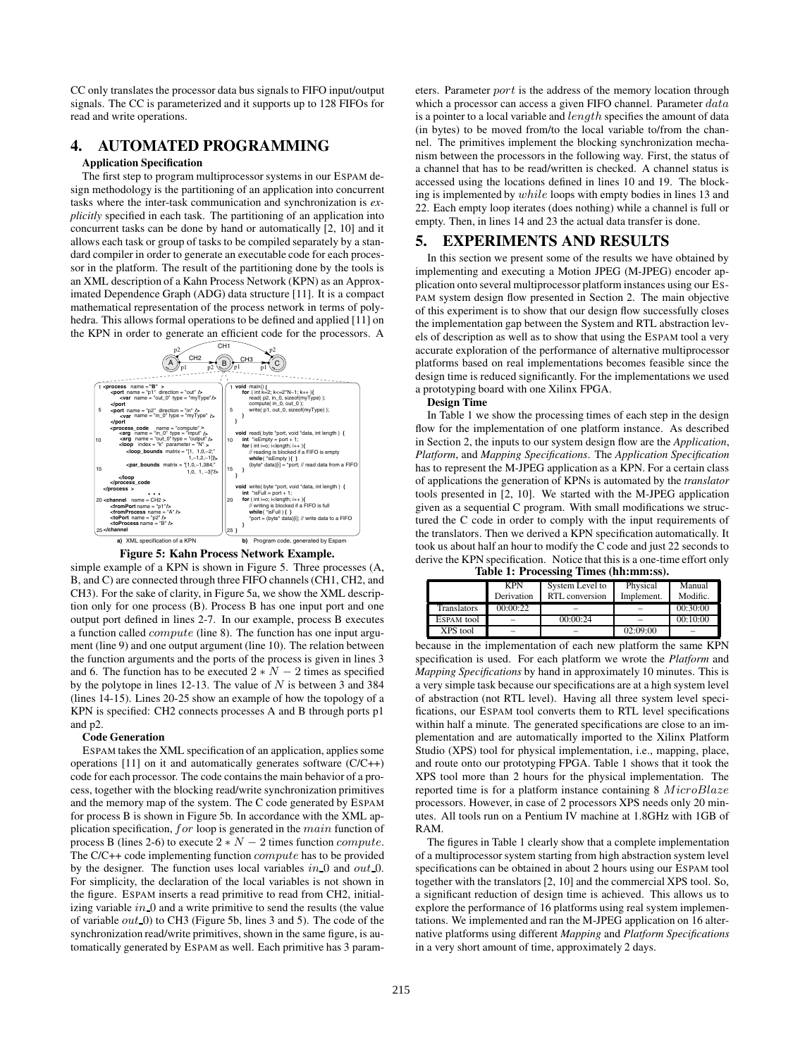CC only translates the processor data bus signals to FIFO input/output signals. The CC is parameterized and it supports up to 128 FIFOs for read and write operations.

# **4. AUTOMATED PROGRAMMING**

### **Application Specification**

The first step to program multiprocessor systems in our ESPAM design methodology is the partitioning of an application into concurrent tasks where the inter-task communication and synchronization is *explicitly* specified in each task. The partitioning of an application into concurrent tasks can be done by hand or automatically [2, 10] and it allows each task or group of tasks to be compiled separately by a standard compiler in order to generate an executable code for each processor in the platform. The result of the partitioning done by the tools is an XML description of a Kahn Process Network (KPN) as an Approximated Dependence Graph (ADG) data structure [11]. It is a compact mathematical representation of the process network in terms of polyhedra. This allows formal operations to be defined and applied [11] on the KPN in order to generate an efficient code for the processors. A





simple example of a KPN is shown in Figure 5. Three processes (A, B, and C) are connected through three FIFO channels (CH1, CH2, and CH3). For the sake of clarity, in Figure 5a, we show the XML description only for one process (B). Process B has one input port and one output port defined in lines 2-7. In our example, process B executes a function called *compute* (line 8). The function has one input argument (line 9) and one output argument (line 10). The relation between the function arguments and the ports of the process is given in lines 3 and 6. The function has to be executed  $2*N-2$  times as specified by the polytope in lines 12-13. The value of *N* is between 3 and 384 (lines 14-15). Lines 20-25 show an example of how the topology of a KPN is specified: CH2 connects processes A and B through ports p1 and p2.

#### **Code Generation**

ESPAM takes the XML specification of an application, applies some operations [11] on it and automatically generates software (C/C++) code for each processor. The code contains the main behavior of a process, together with the blocking read/write synchronization primitives and the memory map of the system. The C code generated by ESPAM for process B is shown in Figure 5b. In accordance with the XML application specification, *for* loop is generated in the *main* function of process B (lines 2-6) to execute 2 ∗ *N* − 2 times function *compute*. The C/C++ code implementing function *compute* has to be provided by the designer. The function uses local variables *in* 0 and *out* 0. For simplicity, the declaration of the local variables is not shown in the figure. ESPAM inserts a read primitive to read from CH2, initializing variable *in* 0 and a write primitive to send the results (the value of variable *out* 0) to CH3 (Figure 5b, lines 3 and 5). The code of the synchronization read/write primitives, shown in the same figure, is automatically generated by ESPAM as well. Each primitive has 3 parameters. Parameter *port* is the address of the memory location through which a processor can access a given FIFO channel. Parameter *data* is a pointer to a local variable and *length* specifies the amount of data (in bytes) to be moved from/to the local variable to/from the channel. The primitives implement the blocking synchronization mechanism between the processors in the following way. First, the status of a channel that has to be read/written is checked. A channel status is accessed using the locations defined in lines 10 and 19. The blocking is implemented by *while* loops with empty bodies in lines 13 and 22. Each empty loop iterates (does nothing) while a channel is full or empty. Then, in lines 14 and 23 the actual data transfer is done.

#### **5. EXPERIMENTS AND RESULTS**

In this section we present some of the results we have obtained by implementing and executing a Motion JPEG (M-JPEG) encoder application onto several multiprocessor platform instances using our ES-PAM system design flow presented in Section 2. The main objective of this experiment is to show that our design flow successfully closes the implementation gap between the System and RTL abstraction levels of description as well as to show that using the ESPAM tool a very accurate exploration of the performance of alternative multiprocessor platforms based on real implementations becomes feasible since the design time is reduced significantly. For the implementations we used a prototyping board with one Xilinx FPGA.

#### **Design Time**

In Table 1 we show the processing times of each step in the design flow for the implementation of one platform instance. As described in Section 2, the inputs to our system design flow are the *Application*, *Platform*, and *Mapping Specifications*. The *Application Specification* has to represent the M-JPEG application as a KPN. For a certain class of applications the generation of KPNs is automated by the *translator* tools presented in [2, 10]. We started with the M-JPEG application given as a sequential C program. With small modifications we structured the C code in order to comply with the input requirements of the translators. Then we derived a KPN specification automatically. It took us about half an hour to modify the C code and just 22 seconds to derive the KPN specification. Notice that this is a one-time effort only **Table 1: Processing Times (hh:mm:ss).**

| 1400 1. 1 TOCCSSING THIRS (INT. INITIAS ). |            |                 |            |          |  |  |  |
|--------------------------------------------|------------|-----------------|------------|----------|--|--|--|
|                                            | <b>KPN</b> | System Level to | Physical   | Manual   |  |  |  |
|                                            | Derivation | RTL conversion  | Implement. | Modific. |  |  |  |
| <b>Translators</b>                         | 00:00:22   |                 |            | 00:30:00 |  |  |  |
| ESPAM tool                                 |            | 00:00:24        |            | 00:10:00 |  |  |  |
| XPS tool                                   |            |                 | 02:09:00   |          |  |  |  |

because in the implementation of each new platform the same KPN specification is used. For each platform we wrote the *Platform* and *Mapping Specifications* by hand in approximately 10 minutes. This is a very simple task because our specifications are at a high system level of abstraction (not RTL level). Having all three system level specifications, our ESPAM tool converts them to RTL level specifications within half a minute. The generated specifications are close to an implementation and are automatically imported to the Xilinx Platform Studio (XPS) tool for physical implementation, i.e., mapping, place, and route onto our prototyping FPGA. Table 1 shows that it took the XPS tool more than 2 hours for the physical implementation. The reported time is for a platform instance containing 8 *M icroBlaze* processors. However, in case of 2 processors XPS needs only 20 minutes. All tools run on a Pentium IV machine at 1.8GHz with 1GB of RAM.

The figures in Table 1 clearly show that a complete implementation of a multiprocessor system starting from high abstraction system level specifications can be obtained in about 2 hours using our ESPAM tool together with the translators [2, 10] and the commercial XPS tool. So, a significant reduction of design time is achieved. This allows us to explore the performance of 16 platforms using real system implementations. We implemented and ran the M-JPEG application on 16 alternative platforms using different *Mapping* and *Platform Specifications* in a very short amount of time, approximately 2 days.